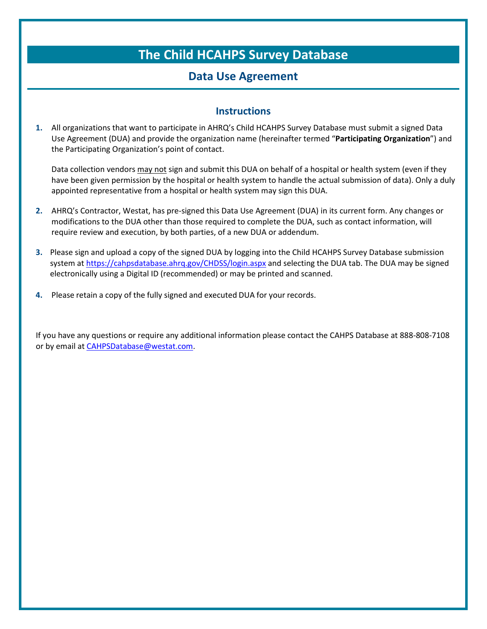# **The Child HCAHPS Survey Database**

## **Data Use Agreement**

### **Instructions**

**1.** All organizations that want to participate in AHRQ's Child HCAHPS Survey Database must submit a signed Data Use Agreement (DUA) and provide the organization name (hereinafter termed "**Participating Organization**") and the Participating Organization's point of contact.

Data collection vendors may not sign and submit this DUA on behalf of a hospital or health system (even if they have been given permission by the hospital or health system to handle the actual submission of data). Only a duly appointed representative from a hospital or health system may sign this DUA.

- **2.** AHRQ's Contractor, Westat, has pre-signed this Data Use Agreement (DUA) in its current form. Any changes or modifications to the DUA other than those required to complete the DUA, such as contact information, will require review and execution, by both parties, of a new DUA or addendum.
- **3.** Please sign and upload a copy of the signed DUA by logging into the Child HCAHPS Survey Database submission system at <https://cahpsdatabase.ahrq.gov/CHDSS/login.aspx> and selecting the DUA tab. The DUA may be signed electronically using a Digital ID (recommended) or may be printed and scanned.
- **4.** Please retain a copy of the fully signed and executed DUA for your records.

If you have any questions or require any additional information please contact the CAHPS Database at 888-808-7108 or by email at [CAHPSDatabase@westat.com.](mailto:CAHPSDatabase@westat.com)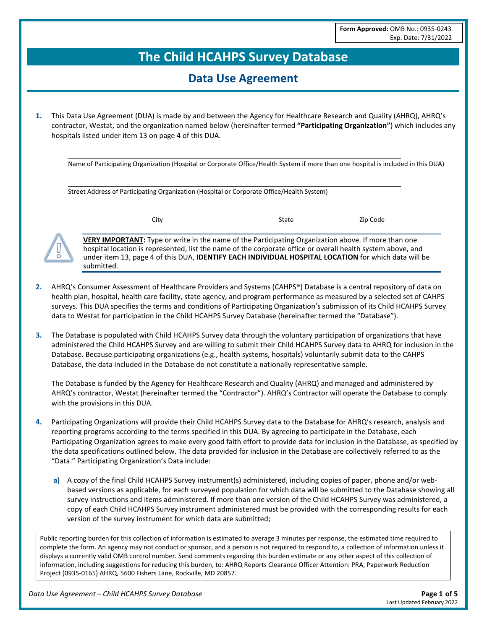## **The Child HCAHPS Survey Database**

### **Data Use Agreement**

**1.** This Data Use Agreement (DUA) is made by and between the Agency for Healthcare Research and Quality (AHRQ), AHRQ's contractor, Westat, and the organization named below (hereinafter termed **"Participating Organization"**) which includes any hospitals listed under item 13 on page 4 of this DUA.

Name of Participating Organization (Hospital or Corporate Office/Health System if more than one hospital is included in this DUA)

Street Address of Participating Organization (Hospital or Corporate Office/Health System)

City Code City State State State State Simple Code

**VERY IMPORTANT:** Type or write in the name of the Participating Organization above. If more than one hospital location is represented, list the name of the corporate office or overall health system above, and under item 13, page 4 of this DUA, **IDENTIFY EACH INDIVIDUAL HOSPITAL LOCATION** for which data will be submitted.

- **2.** AHRQ's Consumer Assessment of Healthcare Providers and Systems (CAHPS®) Database is a central repository of data on health plan, hospital, health care facility, state agency, and program performance as measured by a selected set of CAHPS surveys. This DUA specifies the terms and conditions of Participating Organization's submission of its Child HCAHPS Survey data to Westat for participation in the Child HCAHPS Survey Database (hereinafter termed the "Database").
- **3.** The Database is populated with Child HCAHPS Survey data through the voluntary participation of organizations that have administered the Child HCAHPS Survey and are willing to submit their Child HCAHPS Survey data to AHRQ for inclusion in the Database. Because participating organizations (e.g., health systems, hospitals) voluntarily submit data to the CAHPS Database, the data included in the Database do not constitute a nationally representative sample.

The Database is funded by the Agency for Healthcare Research and Quality (AHRQ) and managed and administered by AHRQ's contractor, Westat (hereinafter termed the "Contractor"). AHRQ's Contractor will operate the Database to comply with the provisions in this DUA.

- **4.** Participating Organizations will provide their Child HCAHPS Survey data to the Database for AHRQ's research, analysis and reporting programs according to the terms specified in this DUA. By agreeing to participate in the Database, each Participating Organization agrees to make every good faith effort to provide data for inclusion in the Database, as specified by the data specifications outlined below. The data provided for inclusion in the Database are collectively referred to as the "Data." Participating Organization's Data include:
	- **a)** A copy of the final Child HCAHPS Survey instrument(s) administered, including copies of paper, phone and/or webbased versions as applicable, for each surveyed population for which data will be submitted to the Database showing all survey instructions and items administered. If more than one version of the Child HCAHPS Survey was administered, a copy of each Child HCAHPS Survey instrument administered must be provided with the corresponding results for each version of the survey instrument for which data are submitted;

Public reporting burden for this collection of information is estimated to average 3 minutes per response, the estimated time required to complete the form. An agency may not conduct or sponsor, and a person is not required to respond to, a collection of information unless it displays a currently valid OMB control number. Send comments regarding this burden estimate or any other aspect of this collection of information, including suggestions for reducing this burden, to: AHRQ Reports Clearance Officer Attention: PRA, Paperwork Reduction Project (0935-0165) AHRQ, 5600 Fishers Lane, Rockville, MD 20857.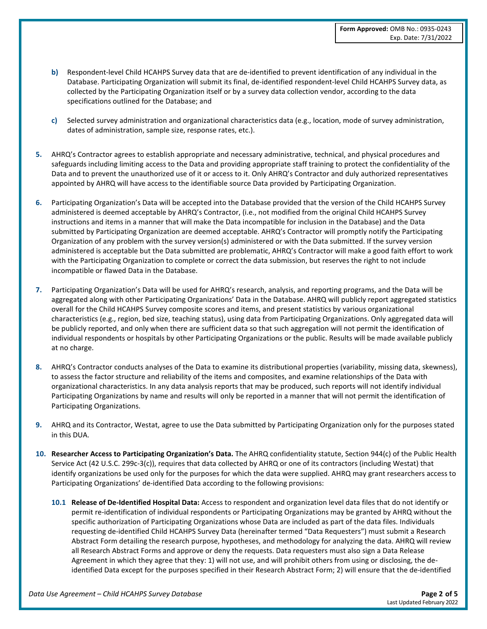- **b)** Respondent-level Child HCAHPS Survey data that are de-identified to prevent identification of any individual in the Database. Participating Organization will submit its final, de-identified respondent-level Child HCAHPS Survey data, as collected by the Participating Organization itself or by a survey data collection vendor, according to the data specifications outlined for the Database; and
- **c)** Selected survey administration and organizational characteristics data (e.g., location, mode of survey administration, dates of administration, sample size, response rates, etc.).
- **5.** AHRQ's Contractor agrees to establish appropriate and necessary administrative, technical, and physical procedures and safeguards including limiting access to the Data and providing appropriate staff training to protect the confidentiality of the Data and to prevent the unauthorized use of it or access to it. Only AHRQ's Contractor and duly authorized representatives appointed by AHRQ will have access to the identifiable source Data provided by Participating Organization.
- **6.** Participating Organization's Data will be accepted into the Database provided that the version of the Child HCAHPS Survey administered is deemed acceptable by AHRQ's Contractor, (i.e., not modified from the original Child HCAHPS Survey instructions and items in a manner that will make the Data incompatible for inclusion in the Database) and the Data submitted by Participating Organization are deemed acceptable. AHRQ's Contractor will promptly notify the Participating Organization of any problem with the survey version(s) administered or with the Data submitted. If the survey version administered is acceptable but the Data submitted are problematic, AHRQ's Contractor will make a good faith effort to work with the Participating Organization to complete or correct the data submission, but reserves the right to not include incompatible or flawed Data in the Database.
- **7.** Participating Organization's Data will be used for AHRQ's research, analysis, and reporting programs, and the Data will be aggregated along with other Participating Organizations' Data in the Database. AHRQ will publicly report aggregated statistics overall for the Child HCAHPS Survey composite scores and items, and present statistics by various organizational characteristics (e.g., region, bed size, teaching status), using data from Participating Organizations. Only aggregated data will be publicly reported, and only when there are sufficient data so that such aggregation will not permit the identification of individual respondents or hospitals by other Participating Organizations or the public. Results will be made available publicly at no charge.
- **8.** AHRQ's Contractor conducts analyses of the Data to examine its distributional properties (variability, missing data, skewness), to assess the factor structure and reliability of the items and composites, and examine relationships of the Data with organizational characteristics. In any data analysis reports that may be produced, such reports will not identify individual Participating Organizations by name and results will only be reported in a manner that will not permit the identification of Participating Organizations.
- **9.** AHRQ and its Contractor, Westat, agree to use the Data submitted by Participating Organization only for the purposes stated in this DUA.
- **10. Researcher Access to Participating Organization's Data.** The AHRQ confidentiality statute, Section 944(c) of the Public Health Service Act (42 U.S.C. 299c-3(c)), requires that data collected by AHRQ or one of its contractors (including Westat) that identify organizations be used only for the purposes for which the data were supplied. AHRQ may grant researchers access to Participating Organizations' de-identified Data according to the following provisions:
	- **10.1 Release of De-Identified Hospital Data:** Access to respondent and organization level data files that do not identify or permit re-identification of individual respondents or Participating Organizations may be granted by AHRQ without the specific authorization of Participating Organizations whose Data are included as part of the data files. Individuals requesting de-identified Child HCAHPS Survey Data (hereinafter termed "Data Requesters") must submit a Research Abstract Form detailing the research purpose, hypotheses, and methodology for analyzing the data. AHRQ will review all Research Abstract Forms and approve or deny the requests. Data requesters must also sign a Data Release Agreement in which they agree that they: 1) will not use, and will prohibit others from using or disclosing, the deidentified Data except for the purposes specified in their Research Abstract Form; 2) will ensure that the de-identified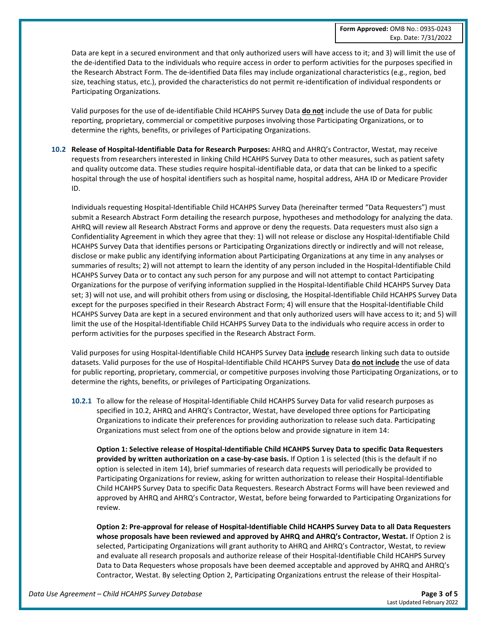Data are kept in a secured environment and that only authorized users will have access to it; and 3) will limit the use of the de-identified Data to the individuals who require access in order to perform activities for the purposes specified in the Research Abstract Form. The de-identified Data files may include organizational characteristics (e.g., region, bed size, teaching status, etc.), provided the characteristics do not permit re-identification of individual respondents or Participating Organizations.

Valid purposes for the use of de-identifiable Child HCAHPS Survey Data **do not** include the use of Data for public reporting, proprietary, commercial or competitive purposes involving those Participating Organizations, or to determine the rights, benefits, or privileges of Participating Organizations.

**10.2 Release of Hospital-Identifiable Data for Research Purposes:** AHRQ and AHRQ's Contractor, Westat, may receive requests from researchers interested in linking Child HCAHPS Survey Data to other measures, such as patient safety and quality outcome data. These studies require hospital-identifiable data, or data that can be linked to a specific hospital through the use of hospital identifiers such as hospital name, hospital address, AHA ID or Medicare Provider ID.

Individuals requesting Hospital-Identifiable Child HCAHPS Survey Data (hereinafter termed "Data Requesters") must submit a Research Abstract Form detailing the research purpose, hypotheses and methodology for analyzing the data. AHRQ will review all Research Abstract Forms and approve or deny the requests. Data requesters must also sign a Confidentiality Agreement in which they agree that they: 1) will not release or disclose any Hospital-Identifiable Child HCAHPS Survey Data that identifies persons or Participating Organizations directly or indirectly and will not release, disclose or make public any identifying information about Participating Organizations at any time in any analyses or summaries of results; 2) will not attempt to learn the identity of any person included in the Hospital-Identifiable Child HCAHPS Survey Data or to contact any such person for any purpose and will not attempt to contact Participating Organizations for the purpose of verifying information supplied in the Hospital-Identifiable Child HCAHPS Survey Data set; 3) will not use, and will prohibit others from using or disclosing, the Hospital-Identifiable Child HCAHPS Survey Data except for the purposes specified in their Research Abstract Form; 4) will ensure that the Hospital-Identifiable Child HCAHPS Survey Data are kept in a secured environment and that only authorized users will have access to it; and 5) will limit the use of the Hospital-Identifiable Child HCAHPS Survey Data to the individuals who require access in order to perform activities for the purposes specified in the Research Abstract Form.

Valid purposes for using Hospital-Identifiable Child HCAHPS Survey Data **include** research linking such data to outside datasets. Valid purposes for the use of Hospital-Identifiable Child HCAHPS Survey Data **do not include** the use of data for public reporting, proprietary, commercial, or competitive purposes involving those Participating Organizations, or to determine the rights, benefits, or privileges of Participating Organizations.

**10.2.1** To allow for the release of Hospital-Identifiable Child HCAHPS Survey Data for valid research purposes as specified in 10.2, AHRQ and AHRQ's Contractor, Westat, have developed three options for Participating Organizations to indicate their preferences for providing authorization to release such data. Participating Organizations must select from one of the options below and provide signature in item 14:

**Option 1: Selective release of Hospital-Identifiable Child HCAHPS Survey Data to specific Data Requesters provided by written authorization on a case-by-case basis.** If Option 1 is selected (this is the default if no option is selected in item 14), brief summaries of research data requests will periodically be provided to Participating Organizations for review, asking for written authorization to release their Hospital-Identifiable Child HCAHPS Survey Data to specific Data Requesters. Research Abstract Forms will have been reviewed and approved by AHRQ and AHRQ's Contractor, Westat, before being forwarded to Participating Organizations for review.

**Option 2: Pre-approval for release of Hospital-Identifiable Child HCAHPS Survey Data to all Data Requesters whose proposals have been reviewed and approved by AHRQ and AHRQ's Contractor, Westat.** If Option 2 is selected, Participating Organizations will grant authority to AHRQ and AHRQ's Contractor, Westat, to review and evaluate all research proposals and authorize release of their Hospital-Identifiable Child HCAHPS Survey Data to Data Requesters whose proposals have been deemed acceptable and approved by AHRQ and AHRQ's Contractor, Westat. By selecting Option 2, Participating Organizations entrust the release of their Hospital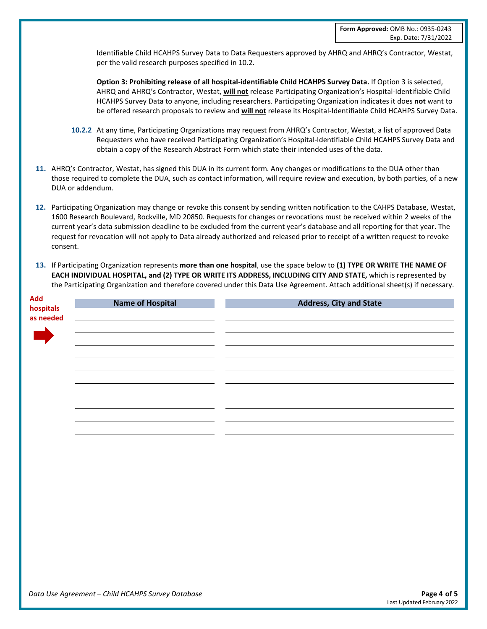Identifiable Child HCAHPS Survey Data to Data Requesters approved by AHRQ and AHRQ's Contractor, Westat, per the valid research purposes specified in 10.2.

**Option 3: Prohibiting release of all hospital-identifiable Child HCAHPS Survey Data.** If Option 3 is selected, AHRQ and AHRQ's Contractor, Westat, **will not** release Participating Organization's Hospital-Identifiable Child HCAHPS Survey Data to anyone, including researchers. Participating Organization indicates it does **not** want to be offered research proposals to review and **will not** release its Hospital-Identifiable Child HCAHPS Survey Data.

- **10.2.2** At any time, Participating Organizations may request from AHRQ's Contractor, Westat, a list of approved Data Requesters who have received Participating Organization's Hospital-Identifiable Child HCAHPS Survey Data and obtain a copy of the Research Abstract Form which state their intended uses of the data.
- **11.** AHRQ's Contractor, Westat, has signed this DUA in its current form. Any changes or modifications to the DUA other than those required to complete the DUA, such as contact information, will require review and execution, by both parties, of a new DUA or addendum.
- **12.** Participating Organization may change or revoke this consent by sending written notification to the CAHPS Database, Westat, 1600 Research Boulevard, Rockville, MD 20850. Requests for changes or revocations must be received within 2 weeks of the current year's data submission deadline to be excluded from the current year's database and all reporting for that year. The request for revocation will not apply to Data already authorized and released prior to receipt of a written request to revoke consent.
- **13.** If Participating Organization represents **more than one hospital**, use the space below to **(1) TYPE OR WRITE THE NAME OF EACH INDIVIDUAL HOSPITAL, and (2) TYPE OR WRITE ITS ADDRESS, INCLUDING CITY AND STATE,** which is represented by the Participating Organization and therefore covered under this Data Use Agreement. Attach additional sheet(s) if necessary.

| <b>Add</b><br>hospitals<br>as needed | <b>Name of Hospital</b> | <b>Address, City and State</b> |
|--------------------------------------|-------------------------|--------------------------------|
|                                      |                         |                                |
|                                      |                         |                                |
|                                      |                         |                                |
|                                      |                         |                                |
|                                      |                         |                                |
|                                      |                         |                                |
|                                      |                         |                                |